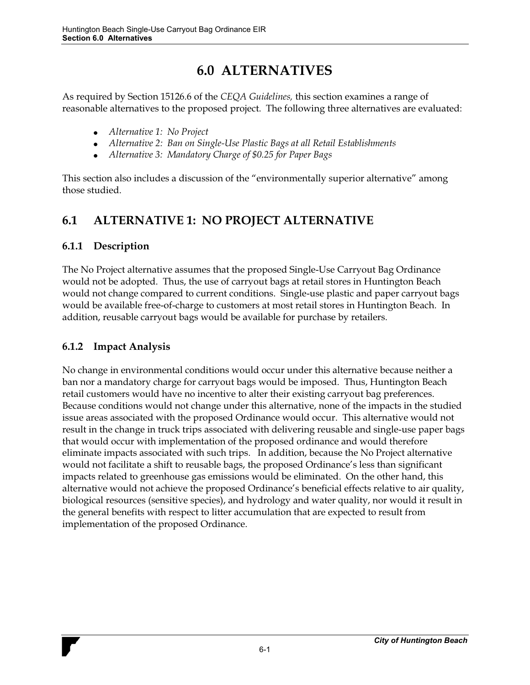# **6.0 ALTERNATIVES**

As required by Section 15126.6 of the *CEQA Guidelines,* this section examines a range of reasonable alternatives to the proposed project. The following three alternatives are evaluated:

- *Alternative 1: No Project*
- *Alternative 2: Ban on Single-Use Plastic Bags at all Retail Establishments*
- *Alternative 3: Mandatory Charge of \$0.25 for Paper Bags*

This section also includes a discussion of the "environmentally superior alternative" among those studied.

## **6.1 ALTERNATIVE 1: NO PROJECT ALTERNATIVE**

### **6.1.1 Description**

The No Project alternative assumes that the proposed Single-Use Carryout Bag Ordinance would not be adopted. Thus, the use of carryout bags at retail stores in Huntington Beach would not change compared to current conditions. Single-use plastic and paper carryout bags would be available free-of-charge to customers at most retail stores in Huntington Beach. In addition, reusable carryout bags would be available for purchase by retailers.

## **6.1.2 Impact Analysis**

No change in environmental conditions would occur under this alternative because neither a ban nor a mandatory charge for carryout bags would be imposed. Thus, Huntington Beach retail customers would have no incentive to alter their existing carryout bag preferences. Because conditions would not change under this alternative, none of the impacts in the studied issue areas associated with the proposed Ordinance would occur. This alternative would not result in the change in truck trips associated with delivering reusable and single-use paper bags that would occur with implementation of the proposed ordinance and would therefore eliminate impacts associated with such trips. In addition, because the No Project alternative would not facilitate a shift to reusable bags, the proposed Ordinance's less than significant impacts related to greenhouse gas emissions would be eliminated. On the other hand, this alternative would not achieve the proposed Ordinance's beneficial effects relative to air quality, biological resources (sensitive species), and hydrology and water quality, nor would it result in the general benefits with respect to litter accumulation that are expected to result from implementation of the proposed Ordinance.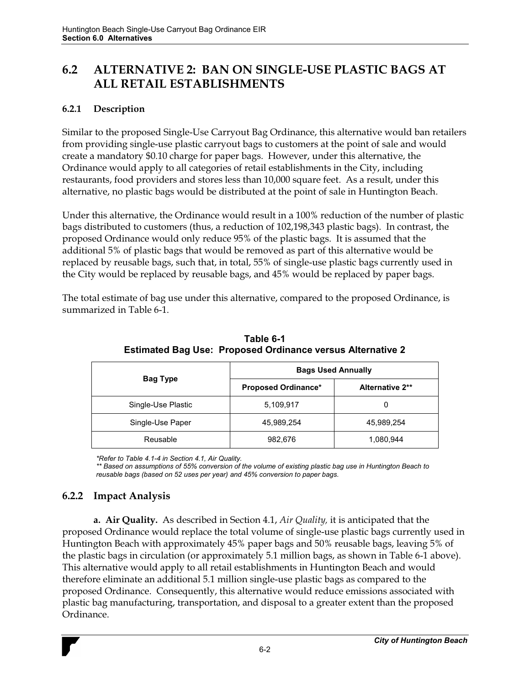## **6.2 ALTERNATIVE 2: BAN ON SINGLE-USE PLASTIC BAGS AT ALL RETAIL ESTABLISHMENTS**

### **6.2.1 Description**

Similar to the proposed Single-Use Carryout Bag Ordinance, this alternative would ban retailers from providing single-use plastic carryout bags to customers at the point of sale and would create a mandatory \$0.10 charge for paper bags. However, under this alternative, the Ordinance would apply to all categories of retail establishments in the City, including restaurants, food providers and stores less than 10,000 square feet. As a result, under this alternative, no plastic bags would be distributed at the point of sale in Huntington Beach.

Under this alternative, the Ordinance would result in a 100% reduction of the number of plastic bags distributed to customers (thus, a reduction of 102,198,343 plastic bags). In contrast, the proposed Ordinance would only reduce 95% of the plastic bags. It is assumed that the additional 5% of plastic bags that would be removed as part of this alternative would be replaced by reusable bags, such that, in total, 55% of single-use plastic bags currently used in the City would be replaced by reusable bags, and 45% would be replaced by paper bags.

The total estimate of bag use under this alternative, compared to the proposed Ordinance, is summarized in Table 6-1.

|                    | <b>Bags Used Annually</b>  |                 |  |  |  |
|--------------------|----------------------------|-----------------|--|--|--|
| Bag Type           | <b>Proposed Ordinance*</b> | Alternative 2** |  |  |  |
| Single-Use Plastic | 5,109,917                  | 0               |  |  |  |
| Single-Use Paper   | 45,989,254                 | 45,989,254      |  |  |  |
| Reusable           | 982,676                    | 1,080,944       |  |  |  |

**Table 6-1 Estimated Bag Use: Proposed Ordinance versus Alternative 2**

*\*Refer to Table 4.1-4 in Section 4.1, Air Quality.* 

*\*\* Based on assumptions of 55% conversion of the volume of existing plastic bag use in Huntington Beach to reusable bags (based on 52 uses per year) and 45% conversion to paper bags.* 

### **6.2.2 Impact Analysis**

**a. Air Quality.** As described in Section 4.1, *Air Quality,* it is anticipated that the proposed Ordinance would replace the total volume of single-use plastic bags currently used in Huntington Beach with approximately 45% paper bags and 50% reusable bags, leaving 5% of the plastic bags in circulation (or approximately 5.1 million bags, as shown in Table 6-1 above). This alternative would apply to all retail establishments in Huntington Beach and would therefore eliminate an additional 5.1 million single-use plastic bags as compared to the proposed Ordinance. Consequently, this alternative would reduce emissions associated with plastic bag manufacturing, transportation, and disposal to a greater extent than the proposed Ordinance.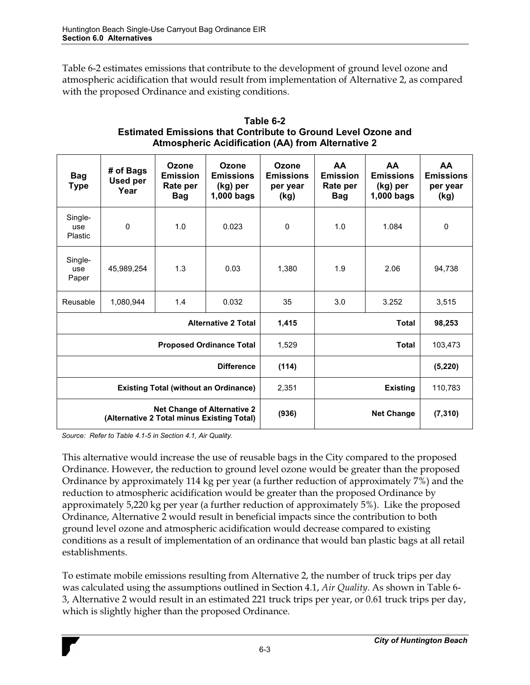Table 6-2 estimates emissions that contribute to the development of ground level ozone and atmospheric acidification that would result from implementation of Alternative 2, as compared with the proposed Ordinance and existing conditions.

| <b>Bag</b><br><b>Type</b>                                                        | # of Bags<br><b>Used per</b><br>Year | Ozone<br><b>Emission</b><br>Rate per<br><b>Bag</b> | Ozone<br><b>Emissions</b><br>(kg) per<br>$1,000$ bags | Ozone<br><b>Emissions</b><br>per year<br>(kg) | <b>AA</b><br><b>Emission</b><br>Rate per<br><b>Bag</b> | <b>AA</b><br><b>Emissions</b><br>(kg) per<br>$1,000$ bags | <b>AA</b><br><b>Emissions</b><br>per year<br>(kg) |
|----------------------------------------------------------------------------------|--------------------------------------|----------------------------------------------------|-------------------------------------------------------|-----------------------------------------------|--------------------------------------------------------|-----------------------------------------------------------|---------------------------------------------------|
| Single-<br>use<br>Plastic                                                        | 0                                    | 1.0                                                | 0.023                                                 | $\mathbf 0$                                   | 1.0                                                    | 1.084                                                     | 0                                                 |
| Single-<br>use<br>Paper                                                          | 45,989,254                           | 1.3                                                | 0.03                                                  | 1,380                                         | 1.9                                                    | 2.06                                                      | 94,738                                            |
| Reusable                                                                         | 1,080,944                            | 1.4                                                | 0.032                                                 | 35                                            | 3.0                                                    | 3.252                                                     | 3,515                                             |
|                                                                                  |                                      |                                                    | <b>Alternative 2 Total</b>                            | 1,415                                         |                                                        | <b>Total</b>                                              | 98,253                                            |
|                                                                                  |                                      |                                                    | <b>Proposed Ordinance Total</b>                       | 1,529                                         | <b>Total</b>                                           |                                                           | 103,473                                           |
|                                                                                  |                                      |                                                    | <b>Difference</b>                                     | (114)                                         |                                                        |                                                           | (5, 220)                                          |
| <b>Existing Total (without an Ordinance)</b>                                     |                                      | 2,351                                              |                                                       | <b>Existing</b>                               | 110.783                                                |                                                           |                                                   |
| <b>Net Change of Alternative 2</b><br>(Alternative 2 Total minus Existing Total) |                                      | (936)                                              |                                                       | <b>Net Change</b>                             | (7, 310)                                               |                                                           |                                                   |

| Table 6-2                                                            |
|----------------------------------------------------------------------|
| <b>Estimated Emissions that Contribute to Ground Level Ozone and</b> |
| <b>Atmospheric Acidification (AA) from Alternative 2</b>             |

*Source: Refer to Table 4.1-5 in Section 4.1, Air Quality.* 

This alternative would increase the use of reusable bags in the City compared to the proposed Ordinance. However, the reduction to ground level ozone would be greater than the proposed Ordinance by approximately 114 kg per year (a further reduction of approximately 7%) and the reduction to atmospheric acidification would be greater than the proposed Ordinance by approximately 5,220 kg per year (a further reduction of approximately 5%). Like the proposed Ordinance, Alternative 2 would result in beneficial impacts since the contribution to both ground level ozone and atmospheric acidification would decrease compared to existing conditions as a result of implementation of an ordinance that would ban plastic bags at all retail establishments.

To estimate mobile emissions resulting from Alternative 2, the number of truck trips per day was calculated using the assumptions outlined in Section 4.1, *Air Quality*. As shown in Table 6- 3, Alternative 2 would result in an estimated 221 truck trips per year, or 0.61 truck trips per day, which is slightly higher than the proposed Ordinance.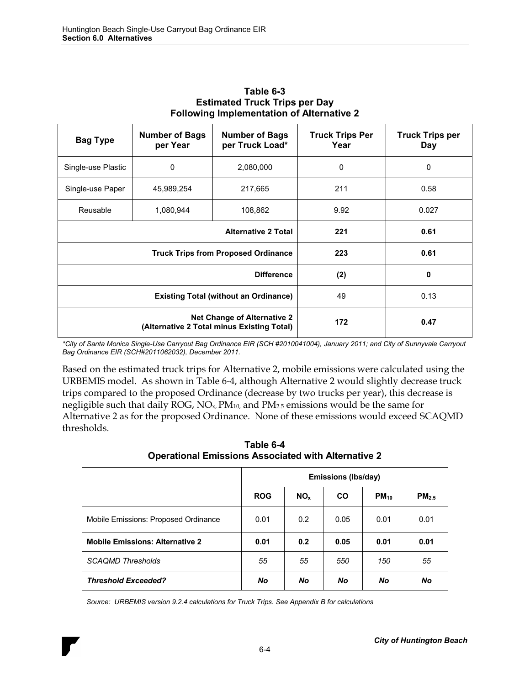| <b>Bag Type</b>    | <b>Number of Bags</b><br>per Year                                                | <b>Number of Bags</b><br>per Truck Load* | <b>Truck Trips Per</b><br>Year | <b>Truck Trips per</b><br>Day |
|--------------------|----------------------------------------------------------------------------------|------------------------------------------|--------------------------------|-------------------------------|
| Single-use Plastic | 0                                                                                | 2,080,000                                | 0                              | $\mathbf{0}$                  |
| Single-use Paper   | 45,989,254                                                                       | 217,665                                  | 211                            | 0.58                          |
| Reusable           | 1,080,944<br>108,862                                                             |                                          | 9.92                           | 0.027                         |
|                    |                                                                                  | 221                                      | 0.61                           |                               |
|                    | <b>Truck Trips from Proposed Ordinance</b>                                       | 223                                      | 0.61                           |                               |
|                    |                                                                                  | (2)                                      | 0                              |                               |
|                    | <b>Existing Total (without an Ordinance)</b>                                     | 49                                       | 0.13                           |                               |
|                    | <b>Net Change of Alternative 2</b><br>(Alternative 2 Total minus Existing Total) | 172                                      | 0.47                           |                               |

#### **Table 6-3 Estimated Truck Trips per Day Following Implementation of Alternative 2**

*\*City of Santa Monica Single-Use Carryout Bag Ordinance EIR (SCH #2010041004), January 2011; and City of Sunnyvale Carryout Bag Ordinance EIR (SCH#2011062032), December 2011.* 

Based on the estimated truck trips for Alternative 2, mobile emissions were calculated using the URBEMIS model. As shown in Table 6-4, although Alternative 2 would slightly decrease truck trips compared to the proposed Ordinance (decrease by two trucks per year), this decrease is negligible such that daily ROG,  $NO<sub>x</sub>$ ,  $PM<sub>10</sub>$ , and  $PM<sub>2.5</sub>$  emissions would be the same for Alternative 2 as for the proposed Ordinance. None of these emissions would exceed SCAQMD thresholds.

|                                        | <b>Emissions (lbs/day)</b> |                 |           |           |                   |
|----------------------------------------|----------------------------|-----------------|-----------|-----------|-------------------|
|                                        | <b>ROG</b>                 | NO <sub>x</sub> | CO.       | $PM_{10}$ | PM <sub>2.5</sub> |
| Mobile Emissions: Proposed Ordinance   | 0.01                       | 0.2             | 0.05      | 0.01      | 0.01              |
| <b>Mobile Emissions: Alternative 2</b> | 0.01                       | 0.2             | 0.05      | 0.01      | 0.01              |
| <b>SCAQMD Thresholds</b>               | 55                         | 55              | 550       | 150       | 55                |
| <b>Threshold Exceeded?</b>             | No                         | No              | <b>No</b> | No        | No                |

**Table 6-4 Operational Emissions Associated with Alternative 2**

*Source: URBEMIS version 9.2.4 calculations for Truck Trips. See Appendix B for calculations*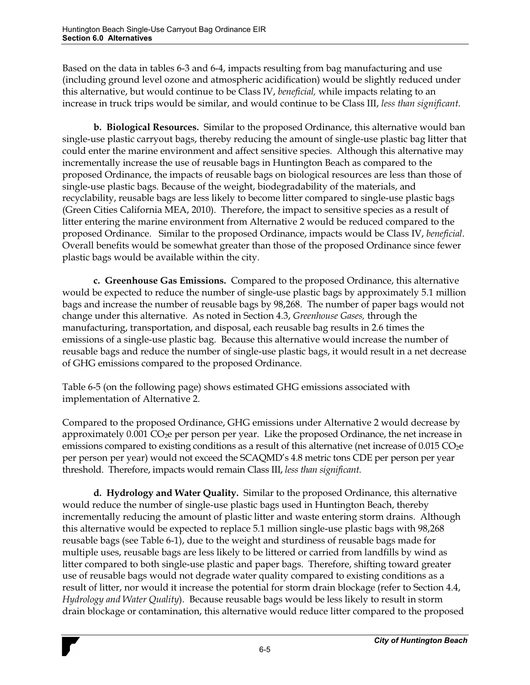Based on the data in tables 6-3 and 6-4, impacts resulting from bag manufacturing and use (including ground level ozone and atmospheric acidification) would be slightly reduced under this alternative, but would continue to be Class IV, *beneficial,* while impacts relating to an increase in truck trips would be similar, and would continue to be Class III, *less than significant.* 

**b. Biological Resources.** Similar to the proposed Ordinance, this alternative would ban single-use plastic carryout bags, thereby reducing the amount of single-use plastic bag litter that could enter the marine environment and affect sensitive species. Although this alternative may incrementally increase the use of reusable bags in Huntington Beach as compared to the proposed Ordinance, the impacts of reusable bags on biological resources are less than those of single-use plastic bags. Because of the weight, biodegradability of the materials, and recyclability, reusable bags are less likely to become litter compared to single-use plastic bags (Green Cities California MEA, 2010). Therefore, the impact to sensitive species as a result of litter entering the marine environment from Alternative 2 would be reduced compared to the proposed Ordinance. Similar to the proposed Ordinance, impacts would be Class IV, *beneficial*. Overall benefits would be somewhat greater than those of the proposed Ordinance since fewer plastic bags would be available within the city.

**c. Greenhouse Gas Emissions.** Compared to the proposed Ordinance, this alternative would be expected to reduce the number of single-use plastic bags by approximately 5.1 million bags and increase the number of reusable bags by 98,268. The number of paper bags would not change under this alternative. As noted in Section 4.3, *Greenhouse Gases,* through the manufacturing, transportation, and disposal, each reusable bag results in 2.6 times the emissions of a single-use plastic bag. Because this alternative would increase the number of reusable bags and reduce the number of single-use plastic bags, it would result in a net decrease of GHG emissions compared to the proposed Ordinance.

Table 6-5 (on the following page) shows estimated GHG emissions associated with implementation of Alternative 2.

Compared to the proposed Ordinance, GHG emissions under Alternative 2 would decrease by approximately 0.001 CO2e per person per year. Like the proposed Ordinance, the net increase in emissions compared to existing conditions as a result of this alternative (net increase of  $0.015 \text{ CO}_2$ e) per person per year) would not exceed the SCAQMD's 4.8 metric tons CDE per person per year threshold. Therefore, impacts would remain Class III, *less than significant.* 

**d. Hydrology and Water Quality.** Similar to the proposed Ordinance, this alternative would reduce the number of single-use plastic bags used in Huntington Beach, thereby incrementally reducing the amount of plastic litter and waste entering storm drains. Although this alternative would be expected to replace 5.1 million single-use plastic bags with 98,268 reusable bags (see Table 6-1), due to the weight and sturdiness of reusable bags made for multiple uses, reusable bags are less likely to be littered or carried from landfills by wind as litter compared to both single-use plastic and paper bags. Therefore, shifting toward greater use of reusable bags would not degrade water quality compared to existing conditions as a result of litter, nor would it increase the potential for storm drain blockage (refer to Section 4.4, *Hydrology and Water Quality*). Because reusable bags would be less likely to result in storm drain blockage or contamination, this alternative would reduce litter compared to the proposed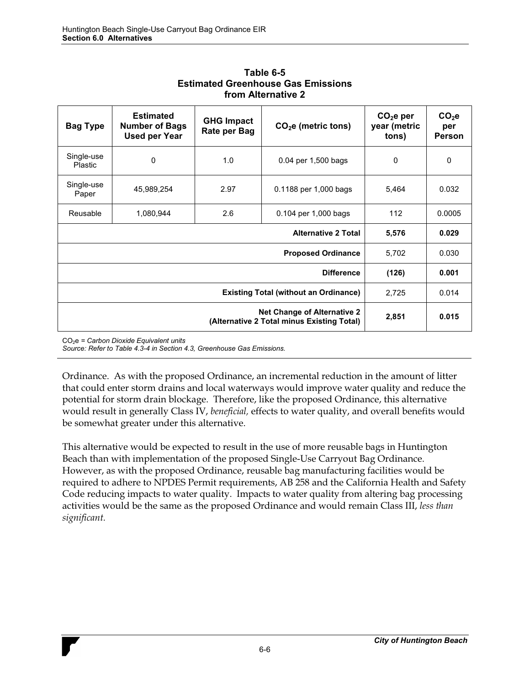| <b>Bag Type</b>              | <b>Estimated</b><br><b>Number of Bags</b><br><b>Used per Year</b> | <b>GHG Impact</b><br>Rate per Bag | $CO2e$ (metric tons)      | CO <sub>2</sub> e per<br>year (metric<br>tons) | CO <sub>2</sub> e<br>per<br>Person |
|------------------------------|-------------------------------------------------------------------|-----------------------------------|---------------------------|------------------------------------------------|------------------------------------|
| Single-use<br><b>Plastic</b> | 0                                                                 | 1.0                               | 0.04 per 1,500 bags       | 0                                              | 0                                  |
| Single-use<br>Paper          | 45,989,254                                                        | 2.97                              | 0.1188 per 1,000 bags     | 5,464                                          | 0.032                              |
| Reusable                     | 1,080,944                                                         | 2.6                               | 0.104 per 1,000 bags      | 112                                            | 0.0005                             |
|                              | 5,576                                                             | 0.029                             |                           |                                                |                                    |
|                              |                                                                   |                                   | <b>Proposed Ordinance</b> | 5,702                                          | 0.030                              |
|                              | (126)                                                             | 0.001                             |                           |                                                |                                    |
|                              | 2,725                                                             | 0.014                             |                           |                                                |                                    |
|                              |                                                                   | 2,851                             | 0.015                     |                                                |                                    |

**Table 6-5 Estimated Greenhouse Gas Emissions from Alternative 2**

CO2e *= Carbon Dioxide Equivalent units Source: Refer to Table 4.3-4 in Section 4.3, Greenhouse Gas Emissions.* 

Ordinance. As with the proposed Ordinance, an incremental reduction in the amount of litter that could enter storm drains and local waterways would improve water quality and reduce the potential for storm drain blockage. Therefore, like the proposed Ordinance, this alternative would result in generally Class IV, *beneficial,* effects to water quality, and overall benefits would be somewhat greater under this alternative.

This alternative would be expected to result in the use of more reusable bags in Huntington Beach than with implementation of the proposed Single-Use Carryout Bag Ordinance. However, as with the proposed Ordinance, reusable bag manufacturing facilities would be required to adhere to NPDES Permit requirements, AB 258 and the California Health and Safety Code reducing impacts to water quality. Impacts to water quality from altering bag processing activities would be the same as the proposed Ordinance and would remain Class III, *less than significant.*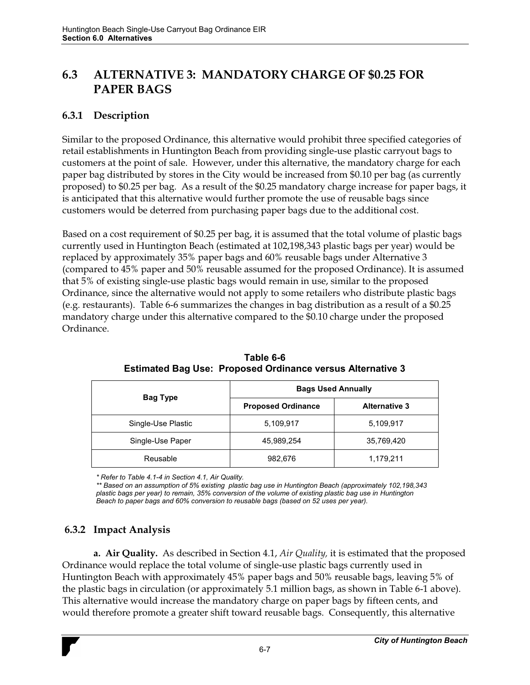## **6.3 ALTERNATIVE 3: MANDATORY CHARGE OF \$0.25 FOR PAPER BAGS**

### **6.3.1 Description**

Similar to the proposed Ordinance, this alternative would prohibit three specified categories of retail establishments in Huntington Beach from providing single-use plastic carryout bags to customers at the point of sale. However, under this alternative, the mandatory charge for each paper bag distributed by stores in the City would be increased from \$0.10 per bag (as currently proposed) to \$0.25 per bag. As a result of the \$0.25 mandatory charge increase for paper bags, it is anticipated that this alternative would further promote the use of reusable bags since customers would be deterred from purchasing paper bags due to the additional cost.

Based on a cost requirement of \$0.25 per bag, it is assumed that the total volume of plastic bags currently used in Huntington Beach (estimated at 102,198,343 plastic bags per year) would be replaced by approximately 35% paper bags and 60% reusable bags under Alternative 3 (compared to 45% paper and 50% reusable assumed for the proposed Ordinance). It is assumed that 5% of existing single-use plastic bags would remain in use, similar to the proposed Ordinance, since the alternative would not apply to some retailers who distribute plastic bags (e.g. restaurants). Table 6-6 summarizes the changes in bag distribution as a result of a \$0.25 mandatory charge under this alternative compared to the \$0.10 charge under the proposed Ordinance.

|                    | <b>Bags Used Annually</b> |                      |  |  |  |
|--------------------|---------------------------|----------------------|--|--|--|
| Bag Type           | <b>Proposed Ordinance</b> | <b>Alternative 3</b> |  |  |  |
| Single-Use Plastic | 5,109,917                 | 5,109,917            |  |  |  |
| Single-Use Paper   | 45,989,254                | 35,769,420           |  |  |  |
| Reusable           | 982,676                   | 1,179,211            |  |  |  |

**Table 6-6 Estimated Bag Use: Proposed Ordinance versus Alternative 3**

*\* Refer to Table 4.1-4 in Section 4.1, Air Quality.* 

*\*\* Based on an assumption of 5% existing plastic bag use in Huntington Beach (approximately 102,198,343 plastic bags per year) to remain, 35% conversion of the volume of existing plastic bag use in Huntington Beach to paper bags and 60% conversion to reusable bags (based on 52 uses per year).* 

### **6.3.2 Impact Analysis**

**a. Air Quality.** As described in Section 4.1, *Air Quality,* it is estimated that the proposed Ordinance would replace the total volume of single-use plastic bags currently used in Huntington Beach with approximately 45% paper bags and 50% reusable bags, leaving 5% of the plastic bags in circulation (or approximately 5.1 million bags, as shown in Table 6-1 above). This alternative would increase the mandatory charge on paper bags by fifteen cents, and would therefore promote a greater shift toward reusable bags. Consequently, this alternative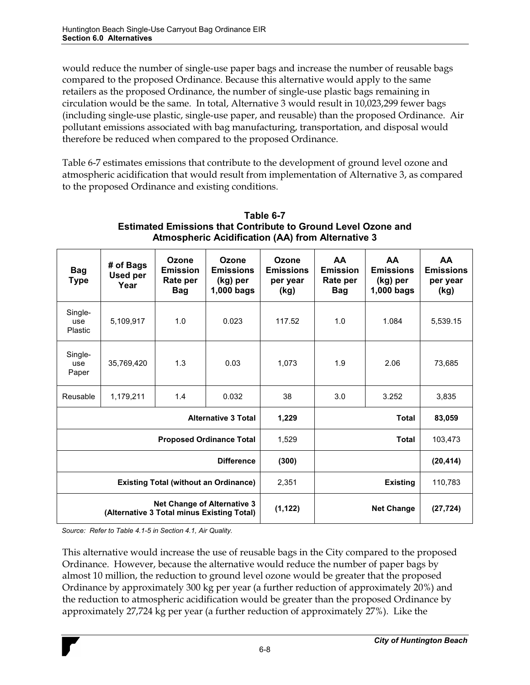would reduce the number of single-use paper bags and increase the number of reusable bags compared to the proposed Ordinance. Because this alternative would apply to the same retailers as the proposed Ordinance, the number of single-use plastic bags remaining in circulation would be the same. In total, Alternative 3 would result in 10,023,299 fewer bags (including single-use plastic, single-use paper, and reusable) than the proposed Ordinance. Air pollutant emissions associated with bag manufacturing, transportation, and disposal would therefore be reduced when compared to the proposed Ordinance.

Table 6-7 estimates emissions that contribute to the development of ground level ozone and atmospheric acidification that would result from implementation of Alternative 3, as compared to the proposed Ordinance and existing conditions.

| <b>Bag</b><br><b>Type</b>                                                        | # of Bags<br>Used per<br>Year | Ozone<br><b>Emission</b><br>Rate per<br><b>Bag</b> | Ozone<br><b>Emissions</b><br>(kg) per<br>1,000 bags | Ozone<br><b>Emissions</b><br>per year<br>(kg) | <b>AA</b><br><b>Emission</b><br>Rate per<br>Bag | <b>AA</b><br><b>Emissions</b><br>(kg) per<br>1,000 bags | <b>AA</b><br><b>Emissions</b><br>per year<br>(kg) |
|----------------------------------------------------------------------------------|-------------------------------|----------------------------------------------------|-----------------------------------------------------|-----------------------------------------------|-------------------------------------------------|---------------------------------------------------------|---------------------------------------------------|
| Single-<br>use<br>Plastic                                                        | 5,109,917                     | 1.0                                                | 0.023                                               | 117.52                                        | 1.0                                             | 1.084                                                   | 5,539.15                                          |
| Single-<br>use<br>Paper                                                          | 35,769,420                    | 1.3                                                | 0.03                                                | 1,073                                         | 1.9                                             | 2.06                                                    | 73,685                                            |
| Reusable                                                                         | 1,179,211                     | 1.4                                                | 0.032                                               | 38                                            | 3.0                                             | 3.252                                                   | 3.835                                             |
|                                                                                  |                               |                                                    | <b>Alternative 3 Total</b>                          | 1,229                                         |                                                 | <b>Total</b>                                            | 83,059                                            |
|                                                                                  |                               |                                                    | <b>Proposed Ordinance Total</b>                     | 1,529                                         | Total                                           |                                                         | 103,473                                           |
| <b>Difference</b>                                                                |                               | (300)                                              |                                                     |                                               | (20, 414)                                       |                                                         |                                                   |
| <b>Existing Total (without an Ordinance)</b>                                     |                               | 2,351                                              | <b>Existing</b>                                     |                                               | 110,783                                         |                                                         |                                                   |
| <b>Net Change of Alternative 3</b><br>(Alternative 3 Total minus Existing Total) |                               | (1, 122)                                           |                                                     | <b>Net Change</b>                             | (27, 724)                                       |                                                         |                                                   |

#### **Table 6-7 Estimated Emissions that Contribute to Ground Level Ozone and Atmospheric Acidification (AA) from Alternative 3**

*Source: Refer to Table 4.1-5 in Section 4.1, Air Quality.* 

This alternative would increase the use of reusable bags in the City compared to the proposed Ordinance. However, because the alternative would reduce the number of paper bags by almost 10 million, the reduction to ground level ozone would be greater that the proposed Ordinance by approximately 300 kg per year (a further reduction of approximately 20%) and the reduction to atmospheric acidification would be greater than the proposed Ordinance by approximately 27,724 kg per year (a further reduction of approximately 27%). Like the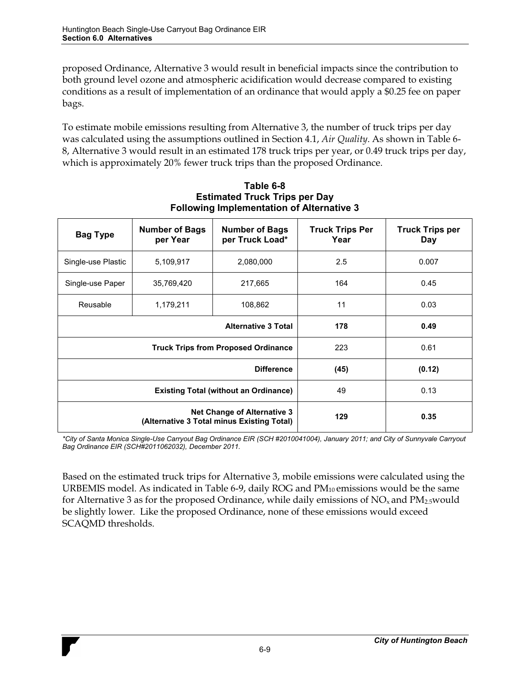proposed Ordinance, Alternative 3 would result in beneficial impacts since the contribution to both ground level ozone and atmospheric acidification would decrease compared to existing conditions as a result of implementation of an ordinance that would apply a \$0.25 fee on paper bags.

To estimate mobile emissions resulting from Alternative 3, the number of truck trips per day was calculated using the assumptions outlined in Section 4.1, *Air Quality*. As shown in Table 6- 8, Alternative 3 would result in an estimated 178 truck trips per year, or 0.49 truck trips per day, which is approximately 20% fewer truck trips than the proposed Ordinance.

| <b>Bag Type</b>    | <b>Number of Bags</b><br>per Year                                                | <b>Number of Bags</b><br>per Truck Load*   | <b>Truck Trips Per</b><br>Year | <b>Truck Trips per</b><br>Day |
|--------------------|----------------------------------------------------------------------------------|--------------------------------------------|--------------------------------|-------------------------------|
| Single-use Plastic | 5,109,917                                                                        | 2,080,000                                  | 2.5                            | 0.007                         |
| Single-use Paper   | 35,769,420                                                                       | 217,665                                    | 164                            | 0.45                          |
| Reusable           | 1,179,211<br>108,862                                                             |                                            | 11                             | 0.03                          |
|                    |                                                                                  | <b>Alternative 3 Total</b>                 | 178                            | 0.49                          |
|                    |                                                                                  | <b>Truck Trips from Proposed Ordinance</b> | 223                            | 0.61                          |
|                    |                                                                                  | (45)                                       | (0.12)                         |                               |
|                    | <b>Existing Total (without an Ordinance)</b>                                     | 49                                         | 0.13                           |                               |
|                    | <b>Net Change of Alternative 3</b><br>(Alternative 3 Total minus Existing Total) | 129                                        | 0.35                           |                               |

**Table 6-8 Estimated Truck Trips per Day Following Implementation of Alternative 3** 

*\*City of Santa Monica Single-Use Carryout Bag Ordinance EIR (SCH #2010041004), January 2011; and City of Sunnyvale Carryout Bag Ordinance EIR (SCH#2011062032), December 2011.* 

Based on the estimated truck trips for Alternative 3, mobile emissions were calculated using the URBEMIS model. As indicated in Table 6-9, daily ROG and  $PM_{10}$  emissions would be the same for Alternative 3 as for the proposed Ordinance, while daily emissions of  $NO_x$  and  $PM_{2.5}$  would be slightly lower. Like the proposed Ordinance, none of these emissions would exceed SCAQMD thresholds.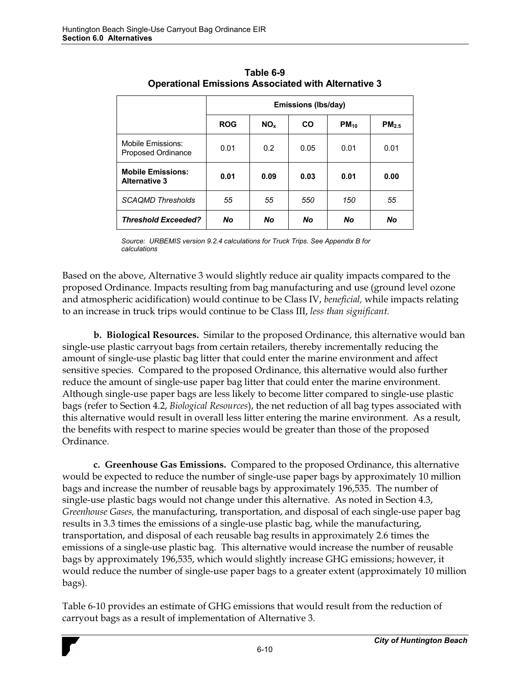|                                                  | Emissions (Ibs/day) |                 |           |           |                   |  |
|--------------------------------------------------|---------------------|-----------------|-----------|-----------|-------------------|--|
|                                                  | <b>ROG</b>          | NO <sub>x</sub> | <b>CO</b> | $PM_{10}$ | PM <sub>2.5</sub> |  |
| Mobile Emissions:<br>Proposed Ordinance          | 0.01                | 0.2             | 0.05      | 0.01      | 0.01              |  |
| <b>Mobile Emissions:</b><br><b>Alternative 3</b> | 0.01                | 0.09            | 0.03      | 0.01      | 0.00              |  |
| <b>SCAQMD Thresholds</b>                         | 55                  | 55              | 550       | 150       | 55                |  |
| <b>Threshold Exceeded?</b>                       | No                  | No              | No        | <b>No</b> | No                |  |

**Table 6-9 Operational Emissions Associated with Alternative 3**

*Source: URBEMIS version 9.2.4 calculations for Truck Trips. See Appendix B for calculations* 

Based on the above, Alternative 3 would slightly reduce air quality impacts compared to the proposed Ordinance. Impacts resulting from bag manufacturing and use (ground level ozone and atmospheric acidification) would continue to be Class IV, *beneficial,* while impacts relating to an increase in truck trips would continue to be Class III, *less than significant.* 

**b. Biological Resources.** Similar to the proposed Ordinance, this alternative would ban single-use plastic carryout bags from certain retailers, thereby incrementally reducing the amount of single-use plastic bag litter that could enter the marine environment and affect sensitive species. Compared to the proposed Ordinance, this alternative would also further reduce the amount of single-use paper bag litter that could enter the marine environment. Although single-use paper bags are less likely to become litter compared to single-use plastic bags (refer to Section 4.2, *Biological Resources*), the net reduction of all bag types associated with this alternative would result in overall less litter entering the marine environment. As a result, the benefits with respect to marine species would be greater than those of the proposed Ordinance.

**c. Greenhouse Gas Emissions.** Compared to the proposed Ordinance, this alternative would be expected to reduce the number of single-use paper bags by approximately 10 million bags and increase the number of reusable bags by approximately 196,535. The number of single-use plastic bags would not change under this alternative. As noted in Section 4.3, *Greenhouse Gases,* the manufacturing, transportation, and disposal of each single-use paper bag results in 3.3 times the emissions of a single-use plastic bag, while the manufacturing, transportation, and disposal of each reusable bag results in approximately 2.6 times the emissions of a single-use plastic bag. This alternative would increase the number of reusable bags by approximately 196,535, which would slightly increase GHG emissions; however, it would reduce the number of single-use paper bags to a greater extent (approximately 10 million bags).

Table 6-10 provides an estimate of GHG emissions that would result from the reduction of carryout bags as a result of implementation of Alternative 3.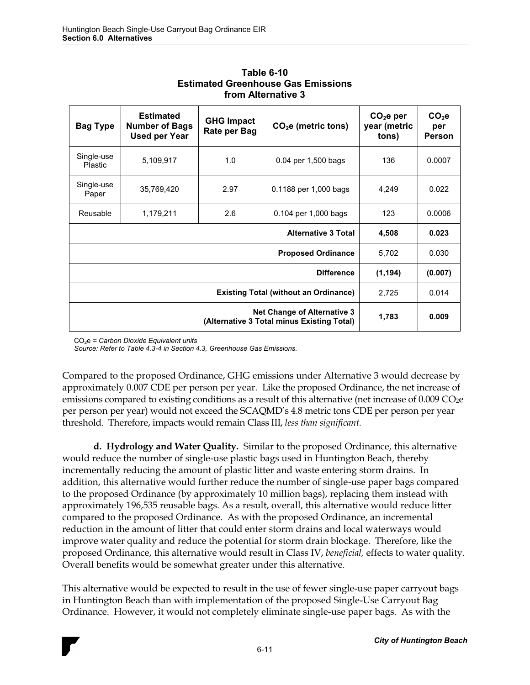| <b>Bag Type</b>                                                                  | <b>Estimated</b><br><b>Number of Bags</b><br><b>Used per Year</b> | <b>GHG Impact</b><br>Rate per Bag | $CO2e$ (metric tons)      | CO <sub>2</sub> e per<br>year (metric<br>tons) | CO <sub>2</sub> e<br>per<br>Person |
|----------------------------------------------------------------------------------|-------------------------------------------------------------------|-----------------------------------|---------------------------|------------------------------------------------|------------------------------------|
| Single-use<br><b>Plastic</b>                                                     | 5,109,917                                                         | 1.0                               | 0.04 per 1,500 bags       | 136                                            | 0.0007                             |
| Single-use<br>Paper                                                              | 35,769,420                                                        | 2.97                              | 0.1188 per 1,000 bags     | 4,249                                          | 0.022                              |
| Reusable                                                                         | 1,179,211                                                         | 2.6                               | 0.104 per 1,000 bags      | 123                                            | 0.0006                             |
|                                                                                  | 4,508                                                             | 0.023                             |                           |                                                |                                    |
|                                                                                  |                                                                   |                                   | <b>Proposed Ordinance</b> | 5,702                                          | 0.030                              |
| <b>Difference</b>                                                                |                                                                   |                                   |                           | (1, 194)                                       | (0.007)                            |
| <b>Existing Total (without an Ordinance)</b>                                     |                                                                   |                                   | 2,725                     | 0.014                                          |                                    |
| <b>Net Change of Alternative 3</b><br>(Alternative 3 Total minus Existing Total) |                                                                   |                                   | 1,783                     | 0.009                                          |                                    |

**Table 6-10 Estimated Greenhouse Gas Emissions from Alternative 3**

CO2e *= Carbon Dioxide Equivalent units* 

*Source: Refer to Table 4.3-4 in Section 4.3, Greenhouse Gas Emissions.* 

Compared to the proposed Ordinance, GHG emissions under Alternative 3 would decrease by approximately 0.007 CDE per person per year. Like the proposed Ordinance, the net increase of emissions compared to existing conditions as a result of this alternative (net increase of 0.009 CO<sub>2</sub>e per person per year) would not exceed the SCAQMD's 4.8 metric tons CDE per person per year threshold. Therefore, impacts would remain Class III, *less than significant.* 

**d. Hydrology and Water Quality.** Similar to the proposed Ordinance, this alternative would reduce the number of single-use plastic bags used in Huntington Beach, thereby incrementally reducing the amount of plastic litter and waste entering storm drains. In addition, this alternative would further reduce the number of single-use paper bags compared to the proposed Ordinance (by approximately 10 million bags), replacing them instead with approximately 196,535 reusable bags. As a result, overall, this alternative would reduce litter compared to the proposed Ordinance. As with the proposed Ordinance, an incremental reduction in the amount of litter that could enter storm drains and local waterways would improve water quality and reduce the potential for storm drain blockage. Therefore, like the proposed Ordinance, this alternative would result in Class IV, *beneficial,* effects to water quality. Overall benefits would be somewhat greater under this alternative.

This alternative would be expected to result in the use of fewer single-use paper carryout bags in Huntington Beach than with implementation of the proposed Single-Use Carryout Bag Ordinance. However, it would not completely eliminate single-use paper bags. As with the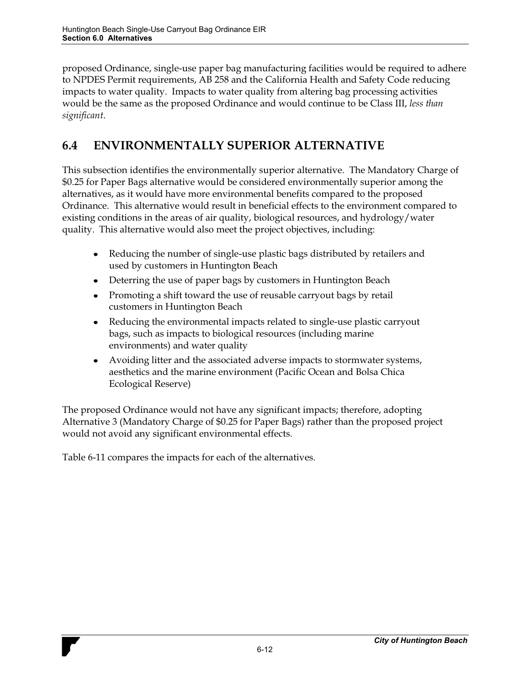proposed Ordinance, single-use paper bag manufacturing facilities would be required to adhere to NPDES Permit requirements, AB 258 and the California Health and Safety Code reducing impacts to water quality. Impacts to water quality from altering bag processing activities would be the same as the proposed Ordinance and would continue to be Class III, *less than significant*.

## **6.4 ENVIRONMENTALLY SUPERIOR ALTERNATIVE**

This subsection identifies the environmentally superior alternative. The Mandatory Charge of \$0.25 for Paper Bags alternative would be considered environmentally superior among the alternatives, as it would have more environmental benefits compared to the proposed Ordinance. This alternative would result in beneficial effects to the environment compared to existing conditions in the areas of air quality, biological resources, and hydrology/water quality. This alternative would also meet the project objectives, including:

- Reducing the number of single-use plastic bags distributed by retailers and  $\bullet$ used by customers in Huntington Beach
- Deterring the use of paper bags by customers in Huntington Beach
- Promoting a shift toward the use of reusable carryout bags by retail customers in Huntington Beach
- Reducing the environmental impacts related to single-use plastic carryout bags, such as impacts to biological resources (including marine environments) and water quality
- Avoiding litter and the associated adverse impacts to stormwater systems, aesthetics and the marine environment (Pacific Ocean and Bolsa Chica Ecological Reserve)

The proposed Ordinance would not have any significant impacts; therefore, adopting Alternative 3 (Mandatory Charge of \$0.25 for Paper Bags) rather than the proposed project would not avoid any significant environmental effects.

Table 6-11 compares the impacts for each of the alternatives.